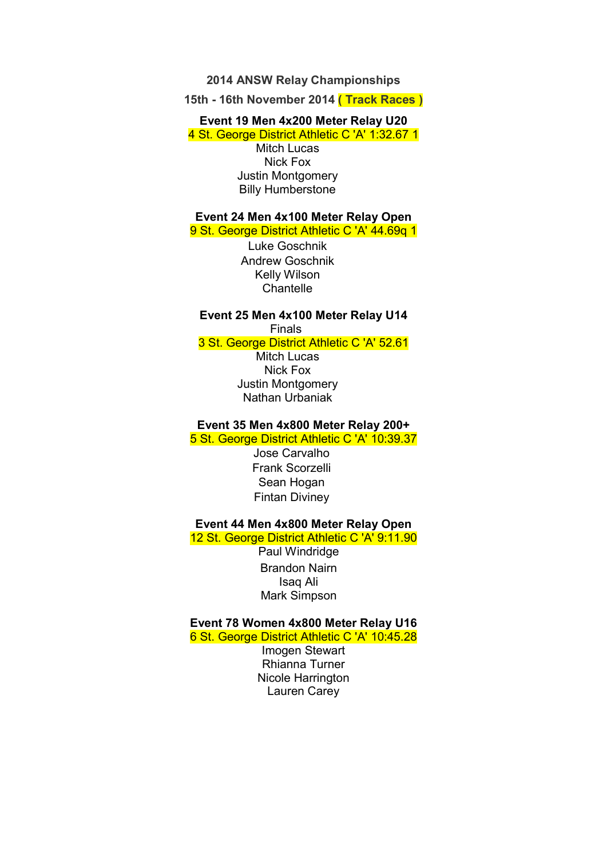#### **2014 ANSW Relay Championships**

**15th - 16th November 2014 ( Track Races )** 

#### **Event 19 Men 4x200 Meter Relay U20**

4 St. George District Athletic C 'A' 1:32.67 1 Mitch Lucas Nick Fox Justin Montgomery Billy Humberstone

#### **Event 24 Men 4x100 Meter Relay Open**  9 St. George District Athletic C 'A' 44.69g 1

Luke Goschnik Andrew Goschnik Kelly Wilson **Chantelle** 

#### **Event 25 Men 4x100 Meter Relay U14**  Finals

3 St. George District Athletic C 'A' 52.61

Mitch Lucas Nick Fox Justin Montgomery Nathan Urbaniak

#### **Event 35 Men 4x800 Meter Relay 200+**

5 St. George District Athletic C 'A' 10:39.37

Jose Carvalho Frank Scorzelli Sean Hogan Fintan Diviney

#### **Event 44 Men 4x800 Meter Relay Open**  12 St. George District Athletic C 'A' 9:11.90

Paul Windridge Brandon Nairn Isaq Ali Mark Simpson

#### **Event 78 Women 4x800 Meter Relay U16**

6 St. George District Athletic C 'A' 10:45.28

Imogen Stewart Rhianna Turner Nicole Harrington Lauren Carey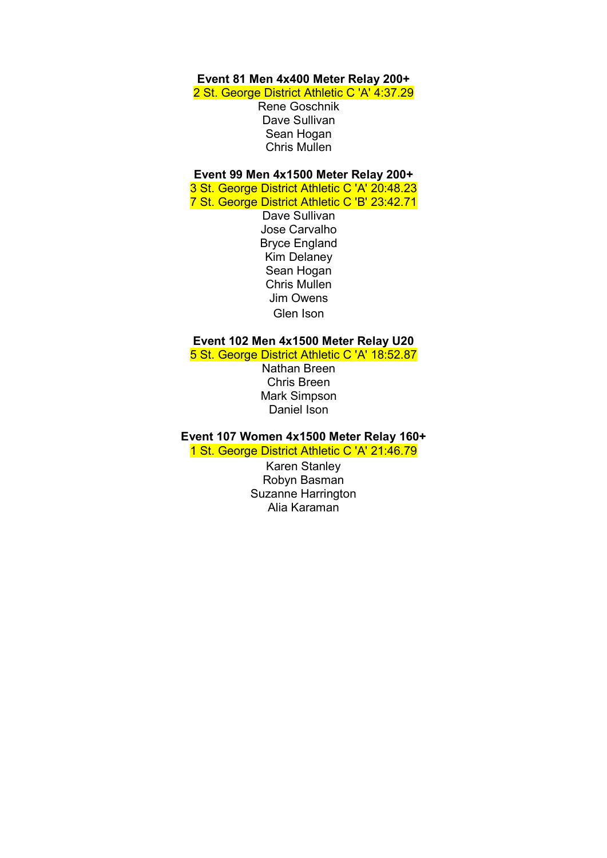# **Event 81 Men 4x400 Meter Relay 200+**

2 St. George District Athletic C 'A' 4:37.29

Rene Goschnik Dave Sullivan Sean Hogan Chris Mullen

#### **Event 99 Men 4x1500 Meter Relay 200+**

3 St. George District Athletic C 'A' 20:48.23 7 St. George District Athletic C 'B' 23:42.71

> Dave Sullivan Jose Carvalho Bryce England Kim Delaney Sean Hogan Chris Mullen Jim Owens Glen Ison

### **Event 102 Men 4x1500 Meter Relay U20**

5 St. George District Athletic C 'A' 18:52.87

Nathan Breen Chris Breen Mark Simpson Daniel Ison

#### **Event 107 Women 4x1500 Meter Relay 160+**  1 St. George District Athletic C 'A' 21:46.79

Karen Stanley Robyn Basman Suzanne Harrington Alia Karaman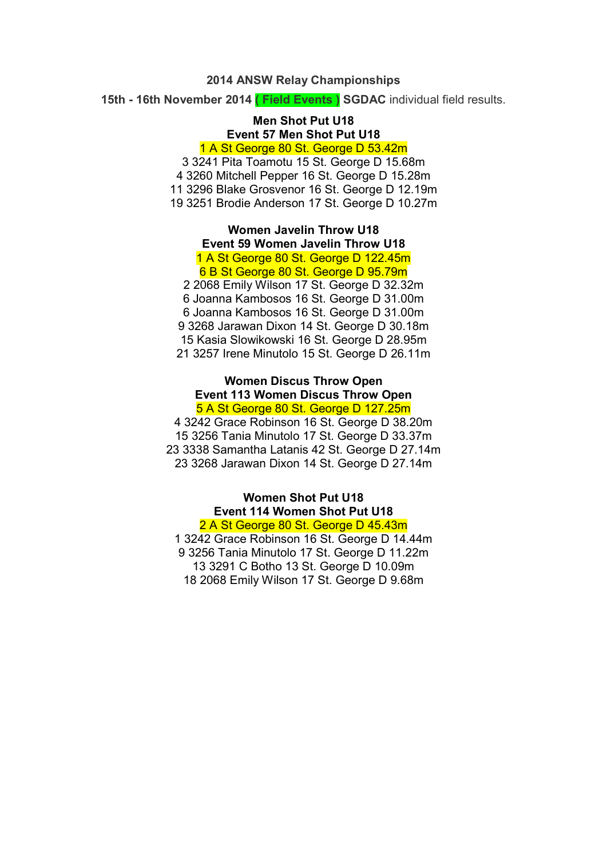#### **2014 ANSW Relay Championships**

**15th - 16th November 2014 ( Field Events ) SGDAC** individual field results.

# **Men Shot Put U18 Event 57 Men Shot Put U18**

1 A St George 80 St. George D 53.42m

3 3241 Pita Toamotu 15 St. George D 15.68m 4 3260 Mitchell Pepper 16 St. George D 15.28m 11 3296 Blake Grosvenor 16 St. George D 12.19m 19 3251 Brodie Anderson 17 St. George D 10.27m

> **Women Javelin Throw U18 Event 59 Women Javelin Throw U18**  1 A St George 80 St. George D 122.45m

#### 6 B St George 80 St. George D 95.79m

2 2068 Emily Wilson 17 St. George D 32.32m 6 Joanna Kambosos 16 St. George D 31.00m 6 Joanna Kambosos 16 St. George D 31.00m 9 3268 Jarawan Dixon 14 St. George D 30.18m 15 Kasia Slowikowski 16 St. George D 28.95m 21 3257 Irene Minutolo 15 St. George D 26.11m

#### **Women Discus Throw Open Event 113 Women Discus Throw Open**  5 A St George 80 St. George D 127.25m

4 3242 Grace Robinson 16 St. George D 38.20m 15 3256 Tania Minutolo 17 St. George D 33.37m 23 3338 Samantha Latanis 42 St. George D 27.14m 23 3268 Jarawan Dixon 14 St. George D 27.14m

#### **Women Shot Put U18 Event 114 Women Shot Put U18**  2 A St George 80 St. George D 45.43m

1 3242 Grace Robinson 16 St. George D 14.44m 9 3256 Tania Minutolo 17 St. George D 11.22m 13 3291 C Botho 13 St. George D 10.09m 18 2068 Emily Wilson 17 St. George D 9.68m